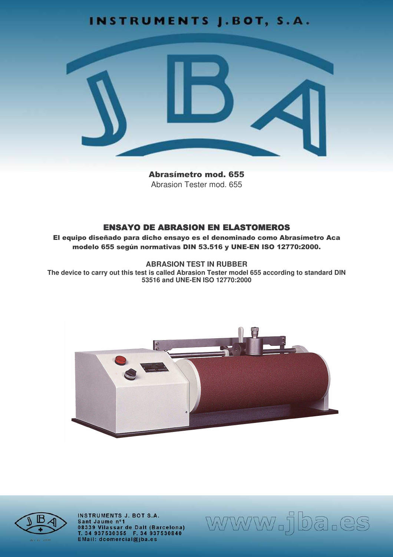# **INSTRUMENTS J.BOT, S.A.**



**Abrasímetro mod. 655** Abrasion Tester mod 655

## **ENSAYO DE ABRASION EN ELASTOMEROS**

El equipo diseñado para dicho ensayo es el denominado como Abrasímetro Aca modelo 655 según normativas DIN 53.516 y UNE-EN ISO 12770:2000.

**ABRASION TEST IN RUBBER** 

The device to carry out this test is called Abrasion Tester model 655 according to standard DIN 53516 and UNE-EN ISO 12770:2000





**INSTRUMENTS J. BOT S.A.** Sant Jaume nº1 08339 Vilassar de Dalt (Barcelona)<br>T. 34 937530355 F. 34 937530840<br>EMail: dcomercial@jba.es